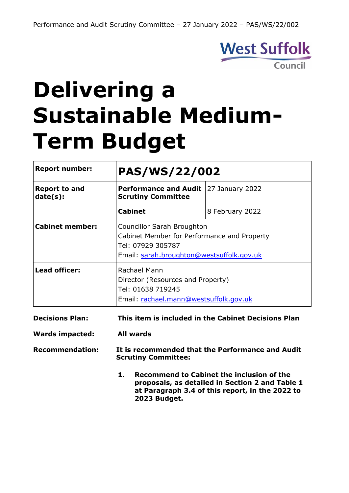

# **Delivering a Sustainable Medium-Term Budget**

| <b>Report number:</b>            | <b>PAS/WS/22/002</b>                                                                                                                               |                                                     |  |
|----------------------------------|----------------------------------------------------------------------------------------------------------------------------------------------------|-----------------------------------------------------|--|
| <b>Report to and</b><br>date(s): | <b>Performance and Audit</b><br><b>Scrutiny Committee</b>                                                                                          | 27 January 2022                                     |  |
|                                  | <b>Cabinet</b>                                                                                                                                     | 8 February 2022                                     |  |
| <b>Cabinet member:</b>           | <b>Councillor Sarah Broughton</b><br>Cabinet Member for Performance and Property<br>Tel: 07929 305787<br>Email: sarah.broughton@westsuffolk.gov.uk |                                                     |  |
| <b>Lead officer:</b>             | Rachael Mann<br>Director (Resources and Property)<br>Tel: 01638 719245<br>Email: rachael.mann@westsuffolk.gov.uk                                   |                                                     |  |
| <b>Decisions Plan:</b>           |                                                                                                                                                    | This item is included in the Cabinet Decisions Plan |  |

**Wards impacted: All wards**

**Recommendation: It is recommended that the Performance and Audit Scrutiny Committee:**

> **1. Recommend to Cabinet the inclusion of the proposals, as detailed in Section 2 and Table 1 at Paragraph 3.4 of this report, in the 2022 to 2023 Budget.**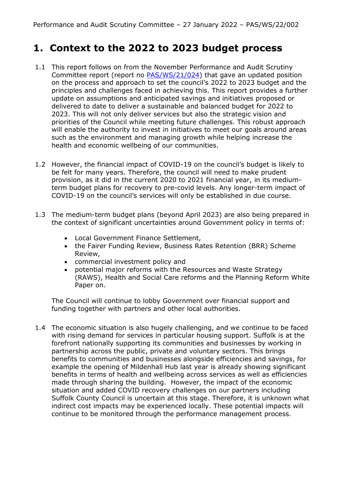## **1. Context to the 2022 to 2023 budget process**

- 1.1 This report follows on from the November Performance and Audit Scrutiny Committee report (report no [PAS/WS/21/024\)](https://democracy.westsuffolk.gov.uk/documents/s41985/PAS.WS.21.024%20-%20Delivering%20a%20Sustainable%20Budget%20-%2018%20November%202021.pdf) that gave an updated position on the process and approach to set the council's 2022 to 2023 budget and the principles and challenges faced in achieving this. This report provides a further update on assumptions and anticipated savings and initiatives proposed or delivered to date to deliver a sustainable and balanced budget for 2022 to 2023. This will not only deliver services but also the strategic vision and priorities of the Council while meeting future challenges. This robust approach will enable the authority to invest in initiatives to meet our goals around areas such as the environment and managing growth while helping increase the health and economic wellbeing of our communities.
- 1.2 However, the financial impact of COVID-19 on the council's budget is likely to be felt for many years. Therefore, the council will need to make prudent provision, as it did in the current 2020 to 2021 financial year, in its mediumterm budget plans for recovery to pre-covid levels. Any longer-term impact of COVID-19 on the council's services will only be established in due course.
- 1.3 The medium-term budget plans (beyond April 2023) are also being prepared in the context of significant uncertainties around Government policy in terms of:
	- Local Government Finance Settlement,
	- the Fairer Funding Review, Business Rates Retention (BRR) Scheme Review,
	- commercial investment policy and
	- potential major reforms with the Resources and Waste Strategy (RAWS), Health and Social Care reforms and the Planning Reform White Paper on.

The Council will continue to lobby Government over financial support and funding together with partners and other local authorities.

1.4 The economic situation is also hugely challenging, and we continue to be faced with rising demand for services in particular housing support. Suffolk is at the forefront nationally supporting its communities and businesses by working in partnership across the public, private and voluntary sectors. This brings benefits to communities and businesses alongside efficiencies and savings, for example the opening of Mildenhall Hub last year is already showing significant benefits in terms of health and wellbeing across services as well as efficiencies made through sharing the building. However, the impact of the economic situation and added COVID recovery challenges on our partners including Suffolk County Council is uncertain at this stage. Therefore, it is unknown what indirect cost impacts may be experienced locally. These potential impacts will continue to be monitored through the performance management process.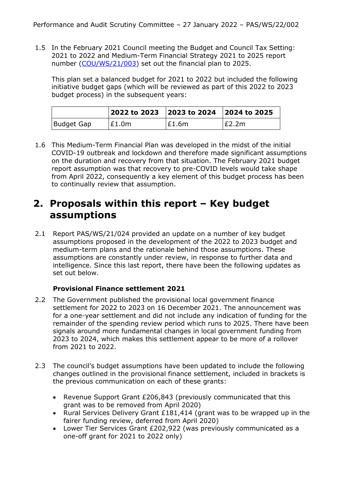1.5 In the February 2021 Council meeting the Budget and Council Tax Setting: 2021 to 2022 and Medium-Term Financial Strategy 2021 to 2025 report number [\(COU/WS/21/003\)](https://democracy.westsuffolk.gov.uk/documents/s39799/COU.WS.21.003%20Budget%20and%20Council%20Tax%20Setting%202021%20to%202022%20and%20MTFS%202021%20to%202025.pdf) set out the financial plan to 2025.

This plan set a balanced budget for 2021 to 2022 but included the following initiative budget gaps (which will be reviewed as part of this 2022 to 2023 budget process) in the subsequent years:

|            |       | 2022 to 2023   2023 to 2024   2024 to 2025 |       |
|------------|-------|--------------------------------------------|-------|
| Budget Gap | £1.0m | E1.6m                                      | E2.2m |

1.6 This Medium-Term Financial Plan was developed in the midst of the initial COVID-19 outbreak and lockdown and therefore made significant assumptions on the duration and recovery from that situation. The February 2021 budget report assumption was that recovery to pre-COVID levels would take shape from April 2022, consequently a key element of this budget process has been to continually review that assumption.

## **2. Proposals within this report – Key budget assumptions**

2.1 Report PAS/WS/21/024 provided an update on a number of key budget assumptions proposed in the development of the 2022 to 2023 budget and medium-term plans and the rationale behind those assumptions. These assumptions are constantly under review, in response to further data and intelligence. Since this last report, there have been the following updates as set out below.

#### **Provisional Finance settlement 2021**

- 2.2 The Government published the provisional local government finance settlement for 2022 to 2023 on 16 December 2021. The announcement was for a one-year settlement and did not include any indication of funding for the remainder of the spending review period which runs to 2025. There have been signals around more fundamental changes in local government funding from 2023 to 2024, which makes this settlement appear to be more of a rollover from 2021 to 2022.
- 2.3 The council's budget assumptions have been updated to include the following changes outlined in the provisional finance settlement, included in brackets is the previous communication on each of these grants:
	- Revenue Support Grant £206,843 (previously communicated that this grant was to be removed from April 2020)
	- Rural Services Delivery Grant £181,414 (grant was to be wrapped up in the fairer funding review, deferred from April 2020)
	- Lower Tier Services Grant £202,922 (was previously communicated as a one-off grant for 2021 to 2022 only)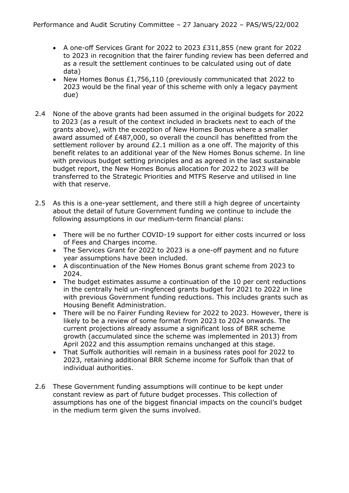- A one-off Services Grant for 2022 to 2023 £311,855 (new grant for 2022 to 2023 in recognition that the fairer funding review has been deferred and as a result the settlement continues to be calculated using out of date data)
- New Homes Bonus £1,756,110 (previously communicated that 2022 to 2023 would be the final year of this scheme with only a legacy payment due)
- 2.4 None of the above grants had been assumed in the original budgets for 2022 to 2023 (as a result of the context included in brackets next to each of the grants above), with the exception of New Homes Bonus where a smaller award assumed of £487,000, so overall the council has benefitted from the settlement rollover by around £2.1 million as a one off. The majority of this benefit relates to an additional year of the New Homes Bonus scheme. In line with previous budget setting principles and as agreed in the last sustainable budget report, the New Homes Bonus allocation for 2022 to 2023 will be transferred to the Strategic Priorities and MTFS Reserve and utilised in line with that reserve.
- 2.5 As this is a one-year settlement, and there still a high degree of uncertainty about the detail of future Government funding we continue to include the following assumptions in our medium-term financial plans:
	- There will be no further COVID-19 support for either costs incurred or loss of Fees and Charges income.
	- The Services Grant for 2022 to 2023 is a one-off payment and no future year assumptions have been included.
	- A discontinuation of the New Homes Bonus grant scheme from 2023 to 2024.
	- The budget estimates assume a continuation of the 10 per cent reductions in the centrally held un-ringfenced grants budget for 2021 to 2022 in line with previous Government funding reductions. This includes grants such as Housing Benefit Administration.
	- There will be no Fairer Funding Review for 2022 to 2023. However, there is likely to be a review of some format from 2023 to 2024 onwards. The current projections already assume a significant loss of BRR scheme growth (accumulated since the scheme was implemented in 2013) from April 2022 and this assumption remains unchanged at this stage.
	- That Suffolk authorities will remain in a business rates pool for 2022 to 2023, retaining additional BRR Scheme income for Suffolk than that of individual authorities.
- 2.6 These Government funding assumptions will continue to be kept under constant review as part of future budget processes. This collection of assumptions has one of the biggest financial impacts on the council's budget in the medium term given the sums involved.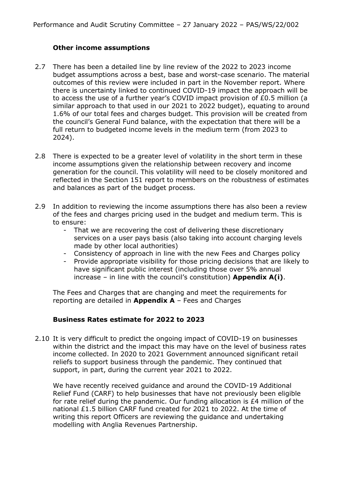#### **Other income assumptions**

- 2.7 There has been a detailed line by line review of the 2022 to 2023 income budget assumptions across a best, base and worst-case scenario. The material outcomes of this review were included in part in the November report. Where there is uncertainty linked to continued COVID-19 impact the approach will be to access the use of a further year's COVID impact provision of £0.5 million (a similar approach to that used in our 2021 to 2022 budget), equating to around 1.6% of our total fees and charges budget. This provision will be created from the council's General Fund balance, with the expectation that there will be a full return to budgeted income levels in the medium term (from 2023 to 2024).
- 2.8 There is expected to be a greater level of volatility in the short term in these income assumptions given the relationship between recovery and income generation for the council. This volatility will need to be closely monitored and reflected in the Section 151 report to members on the robustness of estimates and balances as part of the budget process.
- 2.9 In addition to reviewing the income assumptions there has also been a review of the fees and charges pricing used in the budget and medium term. This is to ensure:
	- That we are recovering the cost of delivering these discretionary services on a user pays basis (also taking into account charging levels made by other local authorities)
	- Consistency of approach in line with the new Fees and Charges policy
	- Provide appropriate visibility for those pricing decisions that are likely to have significant public interest (including those over 5% annual increase – in line with the council's constitution) **Appendix A(i)**.

The Fees and Charges that are changing and meet the requirements for reporting are detailed in **Appendix A** – Fees and Charges

#### **Business Rates estimate for 2022 to 2023**

2.10 It is very difficult to predict the ongoing impact of COVID-19 on businesses within the district and the impact this may have on the level of business rates income collected. In 2020 to 2021 Government announced significant retail reliefs to support business through the pandemic. They continued that support, in part, during the current year 2021 to 2022.

We have recently received guidance and around the COVID-19 Additional Relief Fund (CARF) to help businesses that have not previously been eligible for rate relief during the pandemic. Our funding allocation is £4 million of the national £1.5 billion CARF fund created for 2021 to 2022. At the time of writing this report Officers are reviewing the guidance and undertaking modelling with Anglia Revenues Partnership.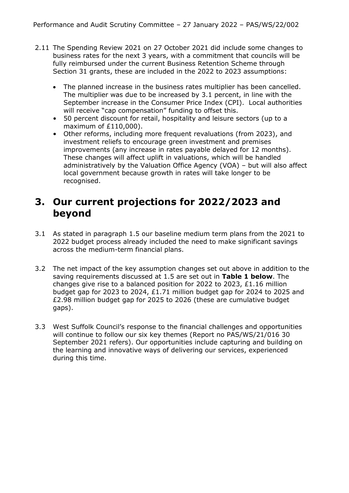- 2.11 The Spending Review 2021 on 27 October 2021 did include some changes to business rates for the next 3 years, with a commitment that councils will be fully reimbursed under the current Business Retention Scheme through Section 31 grants, these are included in the 2022 to 2023 assumptions:
	- The planned increase in the business rates multiplier has been cancelled. The multiplier was due to be increased by 3.1 percent, in line with the September increase in the Consumer Price Index (CPI). Local authorities will receive "cap compensation" funding to offset this.
	- 50 percent discount for retail, hospitality and leisure sectors (up to a maximum of £110,000).
	- Other reforms, including more frequent revaluations (from 2023), and investment reliefs to encourage green investment and premises improvements (any increase in rates payable delayed for 12 months). These changes will affect uplift in valuations, which will be handled administratively by the Valuation Office Agency (VOA) – but will also affect local government because growth in rates will take longer to be recognised.

## **3. Our current projections for 2022/2023 and beyond**

- 3.1 As stated in paragraph 1.5 our baseline medium term plans from the 2021 to 2022 budget process already included the need to make significant savings across the medium-term financial plans.
- 3.2 The net impact of the key assumption changes set out above in addition to the saving requirements discussed at 1.5 are set out in **Table 1 below**. The changes give rise to a balanced position for 2022 to 2023,  $£1.16$  million budget gap for 2023 to 2024, £1.71 million budget gap for 2024 to 2025 and £2.98 million budget gap for 2025 to 2026 (these are cumulative budget gaps).
- 3.3 West Suffolk Council's response to the financial challenges and opportunities will continue to follow our six key themes (Report no PAS/WS/21/016 30 September 2021 refers). Our opportunities include capturing and building on the learning and innovative ways of delivering our services, experienced during this time.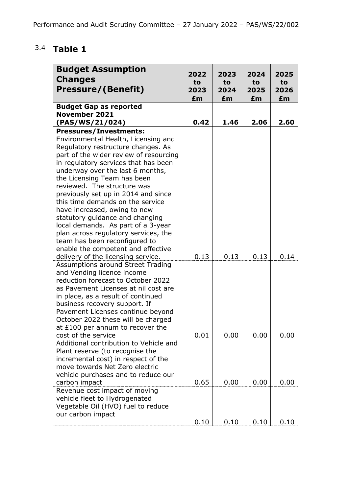# 3.4 **Table 1**

| <b>Budget Assumption</b><br><b>Changes</b><br><b>Pressure/(Benefit)</b>                                                                                                                                                                                                                                                                                                                                                                                                                                                    | 2022<br>to<br>2023<br>£m | 2023<br>to<br>2024<br>£m | 2024<br>to<br>2025<br>£m | 2025<br>to<br>2026<br>£m |
|----------------------------------------------------------------------------------------------------------------------------------------------------------------------------------------------------------------------------------------------------------------------------------------------------------------------------------------------------------------------------------------------------------------------------------------------------------------------------------------------------------------------------|--------------------------|--------------------------|--------------------------|--------------------------|
| <b>Budget Gap as reported</b>                                                                                                                                                                                                                                                                                                                                                                                                                                                                                              |                          |                          |                          |                          |
| <b>November 2021</b>                                                                                                                                                                                                                                                                                                                                                                                                                                                                                                       |                          |                          |                          |                          |
| (PAS/WS/21/024)                                                                                                                                                                                                                                                                                                                                                                                                                                                                                                            | 0.42                     | 1.46                     | 2.06                     | 2.60                     |
| <b>Pressures/Investments:</b>                                                                                                                                                                                                                                                                                                                                                                                                                                                                                              |                          |                          |                          |                          |
| Environmental Health, Licensing and<br>Regulatory restructure changes. As<br>part of the wider review of resourcing<br>in regulatory services that has been<br>underway over the last 6 months,<br>the Licensing Team has been<br>reviewed. The structure was<br>previously set up in 2014 and since<br>this time demands on the service<br>have increased, owing to new<br>statutory guidance and changing<br>local demands. As part of a 3-year<br>plan across regulatory services, the<br>team has been reconfigured to |                          |                          |                          |                          |
| enable the competent and effective<br>delivery of the licensing service.                                                                                                                                                                                                                                                                                                                                                                                                                                                   | 0.13                     | 0.13                     | 0.13                     | 0.14                     |
| <b>Assumptions around Street Trading</b><br>and Vending licence income<br>reduction forecast to October 2022<br>as Pavement Licenses at nil cost are<br>in place, as a result of continued<br>business recovery support. If<br>Pavement Licenses continue beyond<br>October 2022 these will be charged<br>at £100 per annum to recover the                                                                                                                                                                                 |                          |                          |                          |                          |
| cost of the service                                                                                                                                                                                                                                                                                                                                                                                                                                                                                                        | 0.01                     | 0.00                     | 0.00                     | 0.00                     |
| Additional contribution to Vehicle and<br>Plant reserve (to recognise the<br>incremental cost) in respect of the<br>move towards Net Zero electric<br>vehicle purchases and to reduce our<br>carbon impact                                                                                                                                                                                                                                                                                                                 | 0.65                     | 0.00                     | 0.00                     | 0.00                     |
| Revenue cost impact of moving<br>vehicle fleet to Hydrogenated<br>Vegetable Oil (HVO) fuel to reduce<br>our carbon impact                                                                                                                                                                                                                                                                                                                                                                                                  | 0.10                     | 0.10                     | 0.10                     | 0.10                     |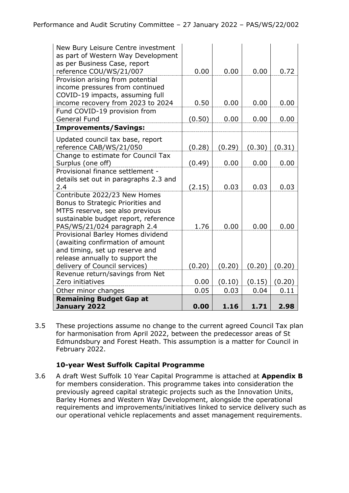| New Bury Leisure Centre investment<br>as part of Western Way Development<br>as per Business Case, report<br>reference COU/WS/21/007 | 0.00   | 0.00   | 0.00   | 0.72   |
|-------------------------------------------------------------------------------------------------------------------------------------|--------|--------|--------|--------|
| Provision arising from potential<br>income pressures from continued                                                                 |        |        |        |        |
| COVID-19 impacts, assuming full<br>income recovery from 2023 to 2024                                                                | 0.50   | 0.00   | 0.00   | 0.00   |
| Fund COVID-19 provision from                                                                                                        |        |        |        |        |
| <b>General Fund</b>                                                                                                                 | (0.50) | 0.00   | 0.00   | 0.00   |
| <b>Improvements/Savings:</b>                                                                                                        |        |        |        |        |
| Updated council tax base, report                                                                                                    |        |        |        |        |
| reference CAB/WS/21/050                                                                                                             | (0.28) | (0.29) | (0.30) | (0.31) |
| Change to estimate for Council Tax<br>Surplus (one off)                                                                             | (0.49) | 0.00   | 0.00   | 0.00   |
| Provisional finance settlement -                                                                                                    |        |        |        |        |
| details set out in paragraphs 2.3 and                                                                                               |        |        |        |        |
| 2.4                                                                                                                                 | (2.15) | 0.03   | 0.03   | 0.03   |
| Contribute 2022/23 New Homes                                                                                                        |        |        |        |        |
| Bonus to Strategic Priorities and                                                                                                   |        |        |        |        |
| MTFS reserve, see also previous                                                                                                     |        |        |        |        |
| sustainable budget report, reference                                                                                                |        |        |        |        |
| PAS/WS/21/024 paragraph 2.4                                                                                                         | 1.76   | 0.00   | 0.00   | 0.00   |
| Provisional Barley Homes dividend<br>(awaiting confirmation of amount                                                               |        |        |        |        |
| and timing, set up reserve and                                                                                                      |        |        |        |        |
| release annually to support the                                                                                                     |        |        |        |        |
| delivery of Council services)                                                                                                       | (0.20) | (0.20) | (0.20) | (0.20) |
| Revenue return/savings from Net                                                                                                     |        |        |        |        |
| Zero initiatives                                                                                                                    | 0.00   | (0.10) | (0.15) | (0.20) |
| Other minor changes                                                                                                                 | 0.05   | 0.03   | 0.04   | 0.11   |
| <b>Remaining Budget Gap at</b>                                                                                                      |        |        |        |        |
| January 2022                                                                                                                        | 0.00   | 1.16   | 1.71   | 2.98   |

3.5 These projections assume no change to the current agreed Council Tax plan for harmonisation from April 2022, between the predecessor areas of St Edmundsbury and Forest Heath. This assumption is a matter for Council in February 2022.

#### **10-year West Suffolk Capital Programme**

3.6 A draft West Suffolk 10 Year Capital Programme is attached at **Appendix B** for members consideration. This programme takes into consideration the previously agreed capital strategic projects such as the Innovation Units, Barley Homes and Western Way Development, alongside the operational requirements and improvements/initiatives linked to service delivery such as our operational vehicle replacements and asset management requirements.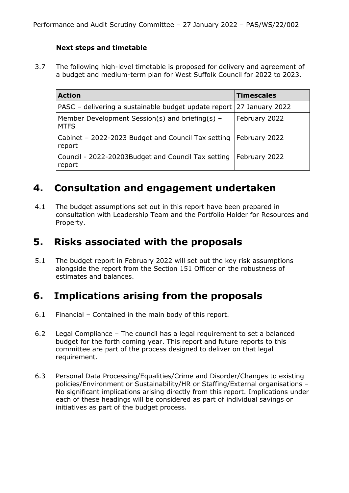#### **Next steps and timetable**

3.7 The following high-level timetable is proposed for delivery and agreement of a budget and medium-term plan for West Suffolk Council for 2022 to 2023.

| <b>Action</b>                                                                | <b>Timescales</b> |
|------------------------------------------------------------------------------|-------------------|
| PASC – delivering a sustainable budget update report 27 January 2022         |                   |
| Member Development Session(s) and briefing(s) -<br><b>MTFS</b>               | February 2022     |
| Cabinet - 2022-2023 Budget and Council Tax setting   February 2022<br>report |                   |
| Council - 2022-20203Budget and Council Tax setting<br>report                 | February 2022     |

## **4. Consultation and engagement undertaken**

4.1 The budget assumptions set out in this report have been prepared in consultation with Leadership Team and the Portfolio Holder for Resources and Property.

### **5. Risks associated with the proposals**

5.1 The budget report in February 2022 will set out the key risk assumptions alongside the report from the Section 151 Officer on the robustness of estimates and balances.

# **6. Implications arising from the proposals**

- 6.1 Financial Contained in the main body of this report.
- 6.2 Legal Compliance The council has a legal requirement to set a balanced budget for the forth coming year. This report and future reports to this committee are part of the process designed to deliver on that legal requirement.
- 6.3 Personal Data Processing/Equalities/Crime and Disorder/Changes to existing policies/Environment or Sustainability/HR or Staffing/External organisations – No significant implications arising directly from this report. Implications under each of these headings will be considered as part of individual savings or initiatives as part of the budget process.